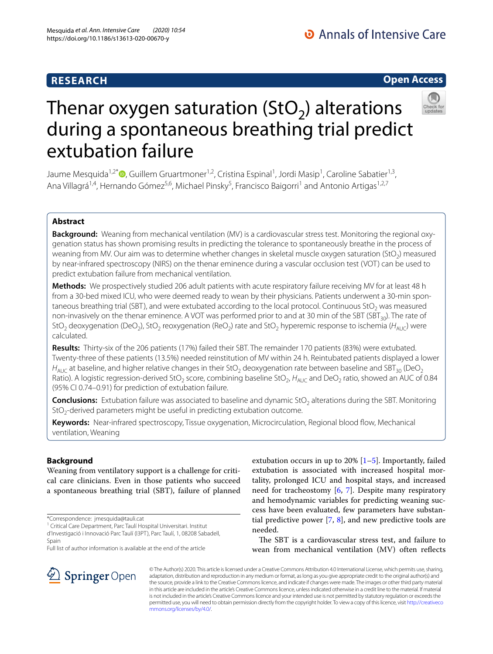# **RESEARCH**

# **Open Access**



# Thenar oxygen saturation (StO<sub>2</sub>) alterations during a spontaneous breathing trial predict extubation failure

Jaume Mesquida<sup>1,2[\\*](http://orcid.org/0000-0003-3670-5021)</sup> <sup>(1</sup>), Guillem Gruartmoner<sup>1,2</sup>, Cristina Espinal<sup>1</sup>, Jordi Masip<sup>1</sup>, Caroline Sabatier<sup>1,3</sup>, Ana Villagrá<sup>1,4</sup>, Hernando Gómez<sup>5,6</sup>, Michael Pinsky<sup>5</sup>, Francisco Baigorri<sup>1</sup> and Antonio Artigas<sup>1,2,7</sup>

# **Abstract**

**Background:** Weaning from mechanical ventilation (MV) is a cardiovascular stress test. Monitoring the regional oxygenation status has shown promising results in predicting the tolerance to spontaneously breathe in the process of weaning from MV. Our aim was to determine whether changes in skeletal muscle oxygen saturation (StO<sub>2</sub>) measured by near-infrared spectroscopy (NIRS) on the thenar eminence during a vascular occlusion test (VOT) can be used to predict extubation failure from mechanical ventilation.

**Methods:** We prospectively studied 206 adult patients with acute respiratory failure receiving MV for at least 48 h from a 30-bed mixed ICU, who were deemed ready to wean by their physicians. Patients underwent a 30-min spontaneous breathing trial (SBT), and were extubated according to the local protocol. Continuous  $StO<sub>2</sub>$  was measured non-invasively on the thenar eminence. A VOT was performed prior to and at 30 min of the SBT (SBT<sub>30</sub>). The rate of StO<sub>2</sub> deoxygenation (DeO<sub>2</sub>), StO<sub>2</sub> reoxygenation (ReO<sub>2</sub>) rate and StO<sub>2</sub> hyperemic response to ischemia (*H*<sub>AUC</sub>) were calculated.

**Results:** Thirty-six of the 206 patients (17%) failed their SBT. The remainder 170 patients (83%) were extubated. Twenty-three of these patients (13.5%) needed reinstitution of MV within 24 h. Reintubated patients displayed a lower  $H_{AUC}$  at baseline, and higher relative changes in their StO<sub>2</sub> deoxygenation rate between baseline and SBT<sub>30</sub> (DeO<sub>2</sub>) Ratio). A logistic regression-derived StO<sub>2</sub> score, combining baseline StO<sub>2</sub>, H<sub>AUC</sub> and DeO<sub>2</sub> ratio, showed an AUC of 0.84 (95% CI 0.74–0.91) for prediction of extubation failure.

**Conclusions:** Extubation failure was associated to baseline and dynamic StO<sub>2</sub> alterations during the SBT. Monitoring  $StO<sub>2</sub>$ -derived parameters might be useful in predicting extubation outcome.

**Keywords:** Near-infrared spectroscopy, Tissue oxygenation, Microcirculation, Regional blood fow, Mechanical ventilation, Weaning

# **Background**

Weaning from ventilatory support is a challenge for critical care clinicians. Even in those patients who succeed a spontaneous breathing trial (SBT), failure of planned

\*Correspondence: jmesquida@tauli.cat

<sup>1</sup> Critical Care Department, Parc Taulí Hospital Universitari. Institut d'Investigació i Innovació Parc Taulí (I3PT), Parc Taulí, 1, 08208 Sabadell, Spain

Full list of author information is available at the end of the article

extubation occurs in up to  $20\%$   $[1–5]$  $[1–5]$  $[1–5]$ . Importantly, failed extubation is associated with increased hospital mortality, prolonged ICU and hospital stays, and increased need for tracheostomy [[6,](#page-6-2) [7\]](#page-6-3). Despite many respiratory and hemodynamic variables for predicting weaning success have been evaluated, few parameters have substantial predictive power [[7,](#page-6-3) [8\]](#page-6-4), and new predictive tools are needed.

The SBT is a cardiovascular stress test, and failure to wean from mechanical ventilation (MV) often refects



© The Author(s) 2020. This article is licensed under a Creative Commons Attribution 4.0 International License, which permits use, sharing, adaptation, distribution and reproduction in any medium or format, as long as you give appropriate credit to the original author(s) and the source, provide a link to the Creative Commons licence, and indicate if changes were made. The images or other third party material in this article are included in the article's Creative Commons licence, unless indicated otherwise in a credit line to the material. If material is not included in the article's Creative Commons licence and your intended use is not permitted by statutory regulation or exceeds the permitted use, you will need to obtain permission directly from the copyright holder. To view a copy of this licence, visit [http://creativeco](http://creativecommons.org/licenses/by/4.0/) [mmons.org/licenses/by/4.0/.](http://creativecommons.org/licenses/by/4.0/)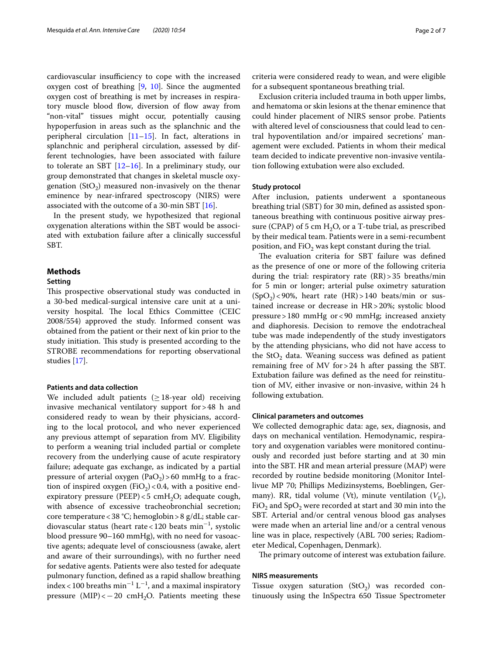cardiovascular insufficiency to cope with the increased oxygen cost of breathing  $[9, 10]$  $[9, 10]$  $[9, 10]$  $[9, 10]$ . Since the augmented oxygen cost of breathing is met by increases in respiratory muscle blood flow, diversion of flow away from "non-vital" tissues might occur, potentially causing hypoperfusion in areas such as the splanchnic and the peripheral circulation  $[11–15]$  $[11–15]$ . In fact, alterations in splanchnic and peripheral circulation, assessed by different technologies, have been associated with failure to tolerate an SBT [[12–](#page-6-9)[16](#page-6-10)]. In a preliminary study, our group demonstrated that changes in skeletal muscle oxygenation  $(StO<sub>2</sub>)$  measured non-invasively on the thenar eminence by near-infrared spectroscopy (NIRS) were associated with the outcome of a 30-min SBT [\[16](#page-6-10)].

In the present study, we hypothesized that regional oxygenation alterations within the SBT would be associated with extubation failure after a clinically successful SBT.

# **Methods**

# **Setting**

This prospective observational study was conducted in a 30-bed medical-surgical intensive care unit at a university hospital. The local Ethics Committee (CEIC 2008/554) approved the study. Informed consent was obtained from the patient or their next of kin prior to the study initiation. This study is presented according to the STROBE recommendations for reporting observational studies [[17\]](#page-6-11).

# **Patients and data collection**

We included adult patients ( $\geq$  18-year old) receiving invasive mechanical ventilatory support for>48 h and considered ready to wean by their physicians, according to the local protocol, and who never experienced any previous attempt of separation from MV. Eligibility to perform a weaning trial included partial or complete recovery from the underlying cause of acute respiratory failure; adequate gas exchange, as indicated by a partial pressure of arterial oxygen  $(PaO<sub>2</sub>)>60$  mmHg to a fraction of inspired oxygen (FiO<sub>2</sub>) < 0.4, with a positive endexpiratory pressure (PEEP) <5 cmH<sub>2</sub>O; adequate cough, with absence of excessive tracheobronchial secretion; core temperature<38 °C; hemoglobin>8 g/dL; stable cardiovascular status (heart rate<120 beats min<sup>−</sup><sup>1</sup> , systolic blood pressure 90–160 mmHg), with no need for vasoactive agents; adequate level of consciousness (awake, alert and aware of their surroundings), with no further need for sedative agents. Patients were also tested for adequate pulmonary function, defned as a rapid shallow breathing index<100 breaths  $\min^{-1} L^{-1}$ , and a maximal inspiratory pressure  $(MIP) < -20$  cmH<sub>2</sub>O. Patients meeting these

criteria were considered ready to wean, and were eligible for a subsequent spontaneous breathing trial.

Exclusion criteria included trauma in both upper limbs, and hematoma or skin lesions at the thenar eminence that could hinder placement of NIRS sensor probe. Patients with altered level of consciousness that could lead to central hypoventilation and/or impaired secretions' management were excluded. Patients in whom their medical team decided to indicate preventive non-invasive ventilation following extubation were also excluded.

## **Study protocol**

After inclusion, patients underwent a spontaneous breathing trial (SBT) for 30 min, defned as assisted spontaneous breathing with continuous positive airway pressure (CPAP) of 5 cm  $H_2O$ , or a T-tube trial, as prescribed by their medical team. Patients were in a semi-recumbent position, and  $FiO<sub>2</sub>$  was kept constant during the trial.

The evaluation criteria for SBT failure was defined as the presence of one or more of the following criteria during the trial: respiratory rate  $(RR)$  > 35 breaths/min for 5 min or longer; arterial pulse oximetry saturation  $(SpO<sub>2</sub>)$  < 90%, heart rate (HR) > 140 beats/min or sustained increase or decrease in HR>20%; systolic blood pressure>180 mmHg or<90 mmHg; increased anxiety and diaphoresis. Decision to remove the endotracheal tube was made independently of the study investigators by the attending physicians, who did not have access to the  $StO<sub>2</sub>$  data. Weaning success was defined as patient remaining free of MV for>24 h after passing the SBT. Extubation failure was defned as the need for reinstitution of MV, either invasive or non-invasive, within 24 h following extubation.

#### **Clinical parameters and outcomes**

We collected demographic data: age, sex, diagnosis, and days on mechanical ventilation. Hemodynamic, respiratory and oxygenation variables were monitored continuously and recorded just before starting and at 30 min into the SBT. HR and mean arterial pressure (MAP) were recorded by routine bedside monitoring (Monitor Intellivue MP 70; Phillips Medizinsystems, Boeblingen, Germany). RR, tidal volume (Vt), minute ventilation  $(V_F)$ ,  $FiO<sub>2</sub>$  and SpO<sub>2</sub> were recorded at start and 30 min into the SBT. Arterial and/or central venous blood gas analyses were made when an arterial line and/or a central venous line was in place, respectively (ABL 700 series; Radiometer Medical, Copenhagen, Denmark).

The primary outcome of interest was extubation failure.

### **NIRS measurements**

Tissue oxygen saturation  $(StO<sub>2</sub>)$  was recorded continuously using the InSpectra 650 Tissue Spectrometer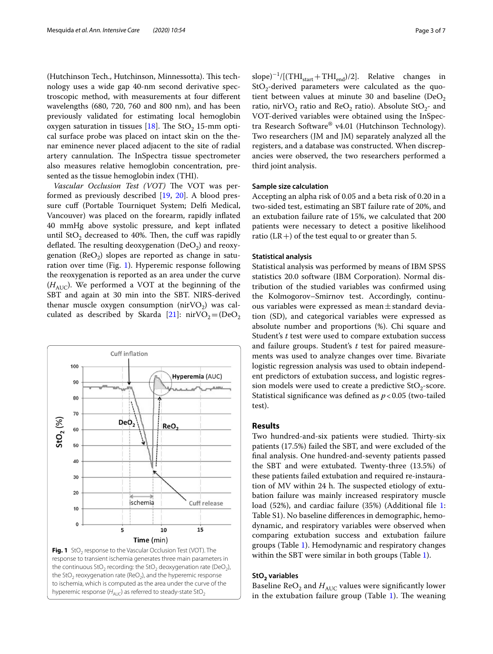(Hutchinson Tech., Hutchinson, Minnessotta). This technology uses a wide gap 40-nm second derivative spectroscopic method, with measurements at four diferent wavelengths (680, 720, 760 and 800 nm), and has been previously validated for estimating local hemoglobin oxygen saturation in tissues [\[18\]](#page-6-12). The  $StO<sub>2</sub>$  15-mm optical surface probe was placed on intact skin on the thenar eminence never placed adjacent to the site of radial artery cannulation. The InSpectra tissue spectrometer also measures relative hemoglobin concentration, presented as the tissue hemoglobin index (THI).

*Vascular Occlusion Test (VOT)* The VOT was performed as previously described [[19,](#page-6-13) [20\]](#page-6-14). A blood pressure cuff (Portable Tourniquet System; Delfi Medical, Vancouver) was placed on the forearm, rapidly infated 40 mmHg above systolic pressure, and kept infated until StO<sub>2</sub> decreased to 40%. Then, the cuff was rapidly deflated. The resulting deoxygenation  $(DeO<sub>2</sub>)$  and reoxygenation ( $ReO<sub>2</sub>$ ) slopes are reported as change in saturation over time (Fig. [1\)](#page-2-0). Hyperemic response following the reoxygenation is reported as an area under the curve  $(H<sub>AUC</sub>)$ . We performed a VOT at the beginning of the SBT and again at 30 min into the SBT. NIRS-derived thenar muscle oxygen consumption (nirVO<sub>2</sub>) was cal-culated as described by Skarda [[21\]](#page-6-15):  $nirVO<sub>2</sub> = (DeO<sub>2</sub>)$ 



<span id="page-2-0"></span>hyperemic response ( $H<sub>ALIC</sub>$ ) as referred to steady-state StO<sub>2</sub>

slope)<sup>-1</sup>/[(THI<sub>start</sub>+THI<sub>end</sub>)/2]. Relative changes in  $StO<sub>2</sub>$ -derived parameters were calculated as the quotient between values at minute 30 and baseline ( $DeO<sub>2</sub>$ ratio, nir VO<sub>2</sub> ratio and ReO<sub>2</sub> ratio). Absolute StO<sub>2</sub>- and VOT-derived variables were obtained using the InSpectra Research Software® v4.01 (Hutchinson Technology). Two researchers (JM and JM) separately analyzed all the registers, and a database was constructed. When discrepancies were observed, the two researchers performed a third joint analysis.

## **Sample size calculation**

Accepting an alpha risk of 0.05 and a beta risk of 0.20 in a two-sided test, estimating an SBT failure rate of 20%, and an extubation failure rate of 15%, we calculated that 200 patients were necessary to detect a positive likelihood ratio (LR  $+$ ) of the test equal to or greater than 5.

## **Statistical analysis**

Statistical analysis was performed by means of IBM SPSS statistics 20.0 software (IBM Corporation). Normal distribution of the studied variables was confrmed using the Kolmogorov–Smirnov test. Accordingly, continuous variables were expressed as mean $\pm$ standard deviation (SD), and categorical variables were expressed as absolute number and proportions (%). Chi square and Student's *t* test were used to compare extubation success and failure groups. Student's *t* test for paired measurements was used to analyze changes over time. Bivariate logistic regression analysis was used to obtain independent predictors of extubation success, and logistic regression models were used to create a predictive  $StO<sub>2</sub>$ -score. Statistical signifcance was defned as *p*<0.05 (two-tailed test).

#### **Results**

Two hundred-and-six patients were studied. Thirty-six patients (17.5%) failed the SBT, and were excluded of the fnal analysis. One hundred-and-seventy patients passed the SBT and were extubated. Twenty-three (13.5%) of these patients failed extubation and required re-instauration of MV within 24 h. The suspected etiology of extubation failure was mainly increased respiratory muscle load (52%), and cardiac failure (35%) (Additional file [1](#page-5-0): Table S1). No baseline diferences in demographic, hemodynamic, and respiratory variables were observed when comparing extubation success and extubation failure groups (Table [1\)](#page-3-0). Hemodynamic and respiratory changes within the SBT were similar in both groups (Table [1\)](#page-3-0).

# **StO2 variables**

Baseline  $\text{ReO}_2$  and  $H_{\text{AUC}}$  values were significantly lower in the extubation failure group (Table  $1$ ). The weaning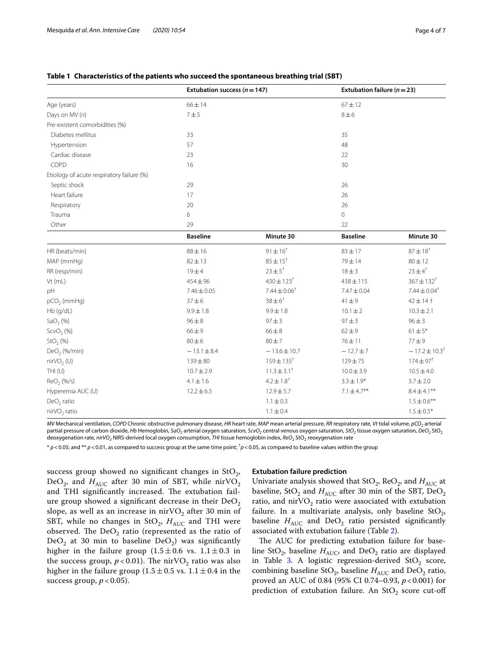## <span id="page-3-0"></span>**Table 1 Characteristics of the patients who succeed the spontaneous breathing trial (SBT)**

|                                           | Extubation success ( $n = 147$ ) |                              | Extubation failure ( $n = 23$ ) |                               |
|-------------------------------------------|----------------------------------|------------------------------|---------------------------------|-------------------------------|
| Age (years)                               | $66 \pm 14$                      |                              | $67 + 12$                       |                               |
| Days on MV (n)                            | 7 ± 5                            |                              | $8\pm 6$                        |                               |
| Pre-existent comorbidities (%)            |                                  |                              |                                 |                               |
| Diabetes mellitus                         | 33                               |                              | 35                              |                               |
| Hypertension                              | 57                               |                              | 48                              |                               |
| Cardiac disease                           | 23                               |                              | 22                              |                               |
| COPD                                      | 16                               |                              | 30                              |                               |
| Etiology of acute respiratory failure (%) |                                  |                              |                                 |                               |
| Septic shock                              | 29                               |                              | 26                              |                               |
| Heart failure                             | 17                               |                              | 26                              |                               |
| Respiratory                               | 20                               |                              | 26                              |                               |
| Trauma                                    | 6                                |                              | $\overline{0}$                  |                               |
| Other                                     | 29                               |                              | 22                              |                               |
|                                           | <b>Baseline</b>                  | Minute 30                    | <b>Baseline</b>                 | Minute 30                     |
| HR (beats/min)                            | $88 \pm 16$                      | $91 \pm 16^{+}$              | $83 + 17$                       | $87 \pm 18^{+}$               |
| MAP (mmHg)                                | $82 \pm 13$                      | $85 \pm 15^{+}$              | 79±14                           | $80 \pm 12$                   |
| RR (resp/min)                             | $19 + 4$                         | $23 \pm 5^{\dagger}$         | $18 \pm 3$                      | $23 \pm 4^{\dagger}$          |
| Vt (mL)                                   | $454 \pm 96$                     | $430 \pm 123$ <sup>†</sup>   | $438 + 115$                     | $367 \pm 132$ <sup>†</sup>    |
| pH                                        | $7.46 \pm 0.05$                  | $7.44 \pm 0.06$ <sup>†</sup> | $7.47 \pm 0.04$                 | $7.44 \pm 0.04$ <sup>†</sup>  |
| $pCO2$ (mmHg)                             | $37 + 6$                         | $38 \pm 6^{\dagger}$         | $41 \pm 9$                      | $42 \pm 14$ †                 |
| Hb (g/dL)                                 | $9.9 \pm 1.8$                    | $9.9 \pm 1.8$                | $10.1 \pm 2$                    | $10.3 \pm 2.1$                |
| SaO <sub>2</sub> (%)                      | $96\pm8$                         | $97 + 3$                     | $97 \pm 3$                      | $96 + 3$                      |
| SCVO <sub>2</sub> (%)                     | $66 \pm 9$                       | $66 \pm 8$                   | $62 \pm 9$                      | $61 \pm 5*$                   |
| StO <sub>2</sub> (%)                      | $80\pm 6$                        | $80 \pm 7$                   | $76 + 11$                       | $77 + 9$                      |
| $DeO2$ (%/min)                            | $-13.1 \pm 8.4$                  | $-13.6 \pm 10.7$             | $-12.7 \pm 7$                   | $-17.2 \pm 10.3$ <sup>†</sup> |
| nirVO <sub>2</sub> (U)                    | 139±80                           | $159 \pm 135$ <sup>+</sup>   | 129±75                          | $174 \pm 97$ <sup>†</sup>     |
| THI(U)                                    | $10.7 \pm 2.9$                   | $11.3 \pm 3.1^+$             | $10.0 \pm 3.9$                  | $10.5 \pm 4.0$                |
| $ReO2$ (%/s)                              | $4.1 \pm 1.6$                    | $4.2 \pm 1.8$ <sup>†</sup>   | $3.3 \pm 1.9*$                  | $3.7 \pm 2.0$                 |
| Hyperemia AUC (U)                         | $12.2 \pm 6.5$                   | $12.9 \pm 5.7$               | $7.1 \pm 4.7***$                | $8.4 \pm 4.1***$              |
| $DeO2$ ratio                              |                                  | $1.1 \pm 0.3$                |                                 | $1.5 \pm 0.6$ **              |
| nir $VO2$ ratio                           |                                  | $1.1 \pm 0.4$                |                                 | $1.5 \pm 0.5*$                |

*MV* Mechanical ventilation, *COPD* Chronic obstructive pulmonary disease, *HR* heart rate, *MAP* mean arterial pressure, *RR* respiratory rate, *Vt* tidal volume, *pCO*<sub>2</sub> arterial partial pressure of carbon dioxide, *Hb* Hemoglobin, *SaO<sub>2</sub>* arterial oxygen saturation, *ScvO<sub>2</sub>* central venous oxygen saturation, *StO<sub>2</sub>* tissue oxygen saturation, *DeO<sub>2</sub>* StO<sub>2</sub> deoxygenation rate, nirVO<sub>2</sub> NIRS-derived local oxygen consumption, *THI* tissue hemoglobin index,  $ReO_2$  StO<sub>2</sub> reoxygenation rate

\* *p*<0.05; and \*\* *p*<0.01, as compared to success group at the same time point; † *p*<0.05, as compared to baseline values within the group

success group showed no significant changes in  $StO<sub>2</sub>$ , DeO<sub>2</sub>, and  $H_{AUC}$  after 30 min of SBT, while nirVO<sub>2</sub> and THI significantly increased. The extubation failure group showed a significant decrease in their  $DeO<sub>2</sub>$ slope, as well as an increase in nirVO<sub>2</sub> after 30 min of SBT, while no changes in StO<sub>2</sub>,  $H_{AUC}$  and THI were observed. The  $DeO<sub>2</sub>$  ratio (represented as the ratio of  $DeO<sub>2</sub>$  at 30 min to baseline  $DeO<sub>2</sub>$ ) was significantly higher in the failure group  $(1.5 \pm 0.6 \text{ vs. } 1.1 \pm 0.3 \text{ in }$ the success group,  $p < 0.01$ ). The nirVO<sub>2</sub> ratio was also higher in the failure group  $(1.5 \pm 0.5 \text{ vs. } 1.1 \pm 0.4 \text{ in the})$ success group,  $p < 0.05$ ).

#### **Extubation failure prediction**

Univariate analysis showed that StO<sub>2</sub>, ReO<sub>2</sub>, and  $H_{AUC}$  at baseline,  $StO_2$  and  $H_{AUC}$  after 30 min of the SBT,  $DeO_2$ ratio, and nir $\mathrm{VO}_2$  ratio were associated with extubation failure. In a multivariate analysis, only baseline  $StO<sub>2</sub>$ , baseline  $H_{\text{AUC}}$  and  $DeO<sub>2</sub>$  ratio persisted significantly associated with extubation failure (Table [2\)](#page-4-0).

The AUC for predicting extubation failure for baseline StO<sub>2</sub>, baseline  $H_{\text{AUC}}$ , and DeO<sub>2</sub> ratio are displayed in Table [3.](#page-4-1) A logistic regression-derived  $StO<sub>2</sub>$  score, combining baseline  $StO_2$ , baseline  $H_{AUC}$  and  $DeO_2$  ratio, proved an AUC of 0.84 (95% CI 0.74–0.93, *p*<0.001) for prediction of extubation failure. An  $StO<sub>2</sub>$  score cut-off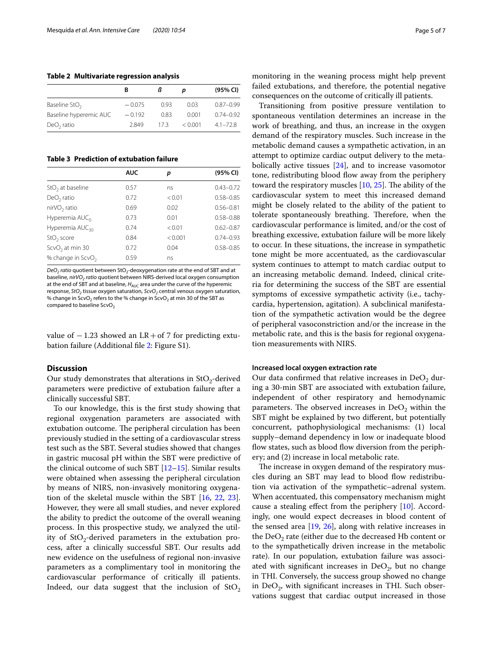<span id="page-4-0"></span>**Table 2 Multivariate regression analysis**

|                           | В        |      | D       | (95% CI)      |
|---------------------------|----------|------|---------|---------------|
| Baseline StO <sub>2</sub> | $-0.075$ | 0.93 | 0.03    | $0.87 - 0.99$ |
| Baseline hyperemic AUC    | $-0.192$ | 0.83 | 0.001   | $0.74 - 0.92$ |
| $DeO2$ ratio              | 2.849    | 173  | < 0.001 | $4.1 - 72.8$  |

<span id="page-4-1"></span>**Table 3 Prediction of extubation failure**

|                               | <b>AUC</b> | p       | (95% CI)      |
|-------------------------------|------------|---------|---------------|
| $StO2$ at baseline            | 0.57       | ns      | $0.43 - 0.72$ |
| $DeO2$ ratio                  | 0.72       | < 0.01  | $0.58 - 0.85$ |
| nirVO <sub>2</sub> ratio      | 0.69       | 0.02    | $0.56 - 0.81$ |
| Hyperemia $AUC0$              | 0.73       | 0.01    | $0.58 - 0.88$ |
| Hyperemia AUC <sub>30</sub>   | 0.74       | < 0.01  | $0.62 - 0.87$ |
| StO <sub>2</sub> score        | 0.84       | < 0.001 | $0.74 - 0.93$ |
| $ScvO2$ at min 30             | 0.72       | 0.04    | $0.58 - 0.85$ |
| % change in ScvO <sub>2</sub> | 0.59       | ns      |               |

*DeO<sub>2</sub> ratio* quotient between StO<sub>2</sub>-deoxygenation rate at the end of SBT and at baseline, *nirVO<sub>2</sub> ratio* quotient between NIRS-derived local oxygen consumption at the end of SBT and at baseline,  $H_{AUC}$  area under the curve of the hyperemic response, *StO<sub>2</sub>* tissue oxygen saturation, *ScvO<sub>2</sub>* central venous oxygen saturation, % change in ScvO<sub>2</sub> refers to the % change in ScvO<sub>2</sub> at min 30 of the SBT as compared to baseline ScvO<sub>2</sub>

value of  $-1.23$  showed an LR + of 7 for predicting extubation failure (Additional fle [2](#page-5-1): Figure S1).

# **Discussion**

Our study demonstrates that alterations in  $StO<sub>2</sub>$ -derived parameters were predictive of extubation failure after a clinically successful SBT.

To our knowledge, this is the frst study showing that regional oxygenation parameters are associated with extubation outcome. The peripheral circulation has been previously studied in the setting of a cardiovascular stress test such as the SBT. Several studies showed that changes in gastric mucosal pH within the SBT were predictive of the clinical outcome of such SBT  $[12–15]$  $[12–15]$  $[12–15]$ . Similar results were obtained when assessing the peripheral circulation by means of NIRS, non-invasively monitoring oxygenation of the skeletal muscle within the SBT [[16](#page-6-10), [22](#page-6-16), [23](#page-6-17)]. However, they were all small studies, and never explored the ability to predict the outcome of the overall weaning process. In this prospective study, we analyzed the utility of  $StO<sub>2</sub>$ -derived parameters in the extubation process, after a clinically successful SBT. Our results add new evidence on the usefulness of regional non-invasive parameters as a complimentary tool in monitoring the cardiovascular performance of critically ill patients. Indeed, our data suggest that the inclusion of  $StO<sub>2</sub>$  monitoring in the weaning process might help prevent failed extubations, and therefore, the potential negative consequences on the outcome of critically ill patients.

Transitioning from positive pressure ventilation to spontaneous ventilation determines an increase in the work of breathing, and thus, an increase in the oxygen demand of the respiratory muscles. Such increase in the metabolic demand causes a sympathetic activation, in an attempt to optimize cardiac output delivery to the metabolically active tissues [[24\]](#page-6-18), and to increase vasomotor tone, redistributing blood flow away from the periphery toward the respiratory muscles  $[10, 25]$  $[10, 25]$  $[10, 25]$ . The ability of the cardiovascular system to meet this increased demand might be closely related to the ability of the patient to tolerate spontaneously breathing. Therefore, when the cardiovascular performance is limited, and/or the cost of breathing excessive, extubation failure will be more likely to occur. In these situations, the increase in sympathetic tone might be more accentuated, as the cardiovascular system continues to attempt to match cardiac output to an increasing metabolic demand. Indeed, clinical criteria for determining the success of the SBT are essential symptoms of excessive sympathetic activity (i.e., tachycardia, hypertension, agitation). A subclinical manifestation of the sympathetic activation would be the degree of peripheral vasoconstriction and/or the increase in the metabolic rate, and this is the basis for regional oxygenation measurements with NIRS.

#### **Increased local oxygen extraction rate**

Our data confirmed that relative increases in  $DeO<sub>2</sub>$  during a 30-min SBT are associated with extubation failure, independent of other respiratory and hemodynamic parameters. The observed increases in  $DeO<sub>2</sub>$  within the SBT might be explained by two diferent, but potentially concurrent, pathophysiological mechanisms: (1) local supply–demand dependency in low or inadequate blood flow states, such as blood flow diversion from the periphery; and (2) increase in local metabolic rate.

The increase in oxygen demand of the respiratory muscles during an SBT may lead to blood flow redistribution via activation of the sympathetic–adrenal system. When accentuated, this compensatory mechanism might cause a stealing efect from the periphery [[10](#page-6-6)]. Accordingly, one would expect decreases in blood content of the sensed area [\[19](#page-6-13), [26\]](#page-6-20), along with relative increases in the  $DeO<sub>2</sub>$  rate (either due to the decreased Hb content or to the sympathetically driven increase in the metabolic rate). In our population, extubation failure was associated with significant increases in  $DeO<sub>2</sub>$ , but no change in THI. Conversely, the success group showed no change in  $DeO<sub>2</sub>$ , with significant increases in THI. Such observations suggest that cardiac output increased in those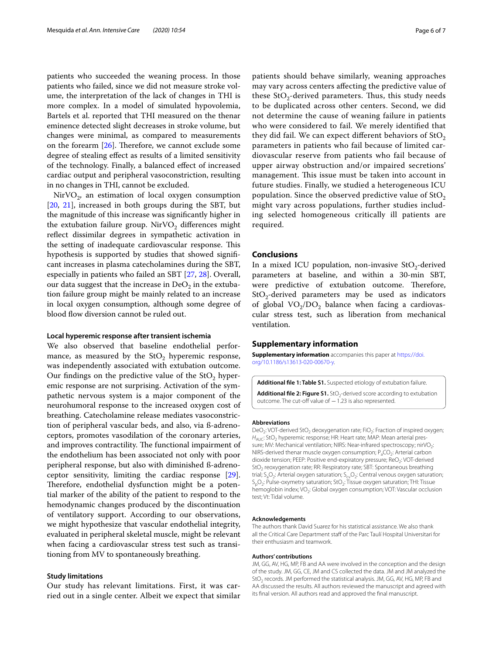patients who succeeded the weaning process. In those patients who failed, since we did not measure stroke volume, the interpretation of the lack of changes in THI is more complex. In a model of simulated hypovolemia, Bartels et al. reported that THI measured on the thenar eminence detected slight decreases in stroke volume, but changes were minimal, as compared to measurements on the forearm  $[26]$  $[26]$  $[26]$ . Therefore, we cannot exclude some degree of stealing efect as results of a limited sensitivity of the technology. Finally, a balanced efect of increased cardiac output and peripheral vasoconstriction, resulting in no changes in THI, cannot be excluded.

 $NirVO<sub>2</sub>$ , an estimation of local oxygen consumption [[20,](#page-6-14) [21\]](#page-6-15), increased in both groups during the SBT, but the magnitude of this increase was signifcantly higher in the extubation failure group.  $NirVO<sub>2</sub>$  differences might refect dissimilar degrees in sympathetic activation in the setting of inadequate cardiovascular response. This hypothesis is supported by studies that showed signifcant increases in plasma catecholamines during the SBT, especially in patients who failed an SBT [[27](#page-6-21), [28](#page-6-22)]. Overall, our data suggest that the increase in  $DeO<sub>2</sub>$  in the extubation failure group might be mainly related to an increase in local oxygen consumption, although some degree of blood flow diversion cannot be ruled out.

## **Local hyperemic response after transient ischemia**

We also observed that baseline endothelial performance, as measured by the  $StO<sub>2</sub>$  hyperemic response, was independently associated with extubation outcome. Our findings on the predictive value of the  $StO<sub>2</sub>$  hyperemic response are not surprising. Activation of the sympathetic nervous system is a major component of the neurohumoral response to the increased oxygen cost of breathing. Catecholamine release mediates vasoconstriction of peripheral vascular beds, and also, via ß-adrenoceptors, promotes vasodilation of the coronary arteries, and improves contractility. The functional impairment of the endothelium has been associated not only with poor peripheral response, but also with diminished ß-adrenoceptor sensitivity, limiting the cardiac response [\[29](#page-6-23)]. Therefore, endothelial dysfunction might be a potential marker of the ability of the patient to respond to the hemodynamic changes produced by the discontinuation of ventilatory support. According to our observations, we might hypothesize that vascular endothelial integrity, evaluated in peripheral skeletal muscle, might be relevant when facing a cardiovascular stress test such as transitioning from MV to spontaneously breathing.

### **Study limitations**

Our study has relevant limitations. First, it was carried out in a single center. Albeit we expect that similar patients should behave similarly, weaning approaches may vary across centers afecting the predictive value of these  $StO<sub>2</sub>$ -derived parameters. Thus, this study needs to be duplicated across other centers. Second, we did not determine the cause of weaning failure in patients who were considered to fail. We merely identifed that they did fail. We can expect different behaviors of  $StO<sub>2</sub>$ parameters in patients who fail because of limited cardiovascular reserve from patients who fail because of upper airway obstruction and/or impaired secretions' management. This issue must be taken into account in future studies. Finally, we studied a heterogeneous ICU population. Since the observed predictive value of  $StO<sub>2</sub>$ might vary across populations, further studies including selected homogeneous critically ill patients are required.

## **Conclusions**

In a mixed ICU population, non-invasive  $StO<sub>2</sub>$ -derived parameters at baseline, and within a 30-min SBT, were predictive of extubation outcome. Therefore,  $StO<sub>2</sub>$ -derived parameters may be used as indicators of global  $VO_2/DO_2$  balance when facing a cardiovascular stress test, such as liberation from mechanical ventilation.

#### **Supplementary information**

**Supplementary information** accompanies this paper at [https://doi.](https://doi.org/10.1186/s13613-020-00670-y) [org/10.1186/s13613-020-00670-y.](https://doi.org/10.1186/s13613-020-00670-y)

<span id="page-5-1"></span><span id="page-5-0"></span>**Additional fle 1: Table S1.** Suspected etiology of extubation failure. Additional file 2: Figure S1. StO<sub>2</sub>-derived score according to extubation outcome. The cut-off value of −1.23 is also represented.

#### **Abbreviations**

DeO<sub>2</sub>: VOT-derived StO<sub>2</sub> deoxygenation rate; FiO<sub>2</sub>: Fraction of inspired oxygen; H<sub>AUC</sub>: StO<sub>2</sub> hyperemic response; HR: Heart rate; MAP: Mean arterial pressure; MV: Mechanical ventilation; NIRS: Near-infrared spectroscopy; nirVO<sub>2</sub>: NIRS-derived thenar muscle oxygen consumption;  $P_aCO_2$ : Arterial carbon dioxide tension; PEEP: Positive end-expiratory pressure; ReO<sub>2</sub>: VOT-derived StO<sub>2</sub> reoxygenation rate; RR: Respiratory rate; SBT: Spontaneous breathing trial;  $S_aO_2$ : Arterial oxygen saturation;  $S_{c}O_2$ : Central venous oxygen saturation;  $S_pO_2$ : Pulse-oxymetry saturation; StO<sub>2</sub>: Tissue oxygen saturation; THI: Tissue hemoglobin index; VO<sub>2</sub>: Global oxygen consumption; VOT: Vascular occlusion test; Vt: Tidal volume.

#### **Acknowledgements**

The authors thank David Suarez for his statistical assistance. We also thank all the Critical Care Department staff of the Parc Taulí Hospital Universitari for their enthusiasm and teamwork.

#### **Authors' contributions**

JM, GG, AV, HG, MP, FB and AA were involved in the conception and the design of the study. JM, GG, CE, JM and CS collected the data. JM and JM analyzed the  $StO<sub>2</sub>$  records. JM performed the statistical analysis. JM, GG, AV, HG, MP, FB and AA discussed the results. All authors reviewed the manuscript and agreed with its fnal version. All authors read and approved the fnal manuscript.